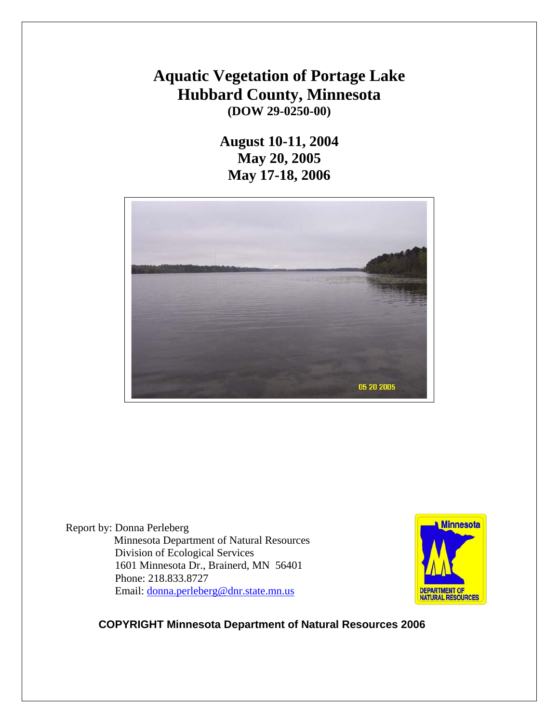# **Aquatic Vegetation of Portage Lake Hubbard County, Minnesota (DOW 29-0250-00)**

**August 10-11, 2004 May 20, 2005 May 17-18, 2006** 



Report by: Donna Perleberg Minnesota Department of Natural Resources Division of Ecological Services 1601 Minnesota Dr., Brainerd, MN 56401 Phone: 218.833.8727 Email: [donna.perleberg@dnr.state.mn.us](mailto:donna.perleberg@dnr.state.mn.us)



## **COPYRIGHT Minnesota Department of Natural Resources 2006**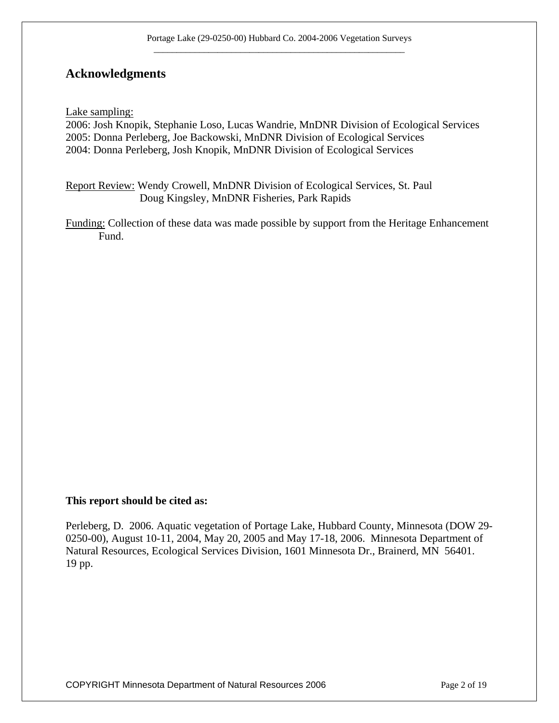## **Acknowledgments**

Lake sampling:

2006: Josh Knopik, Stephanie Loso, Lucas Wandrie, MnDNR Division of Ecological Services 2005: Donna Perleberg, Joe Backowski, MnDNR Division of Ecological Services 2004: Donna Perleberg, Josh Knopik, MnDNR Division of Ecological Services

Report Review: Wendy Crowell, MnDNR Division of Ecological Services, St. Paul Doug Kingsley, MnDNR Fisheries, Park Rapids

Funding: Collection of these data was made possible by support from the Heritage Enhancement Fund.

#### **This report should be cited as:**

Perleberg, D. 2006. Aquatic vegetation of Portage Lake, Hubbard County, Minnesota (DOW 29- 0250-00), August 10-11, 2004, May 20, 2005 and May 17-18, 2006. Minnesota Department of Natural Resources, Ecological Services Division, 1601 Minnesota Dr., Brainerd, MN 56401. 19 pp.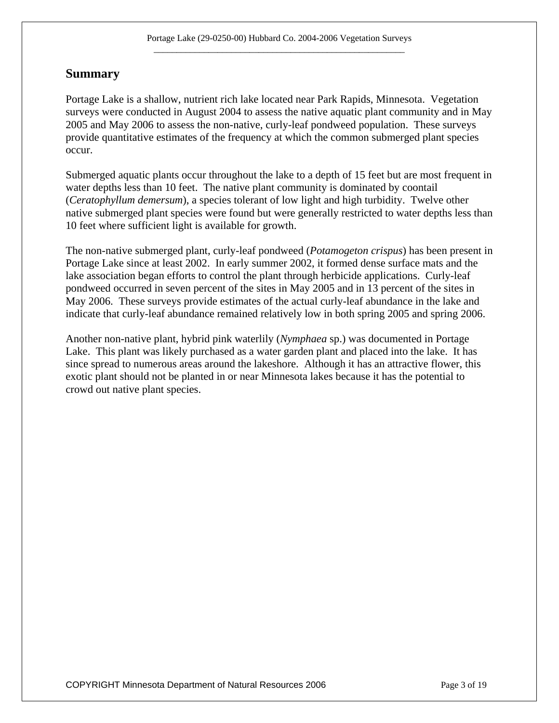#### **Summary**

Portage Lake is a shallow, nutrient rich lake located near Park Rapids, Minnesota. Vegetation surveys were conducted in August 2004 to assess the native aquatic plant community and in May 2005 and May 2006 to assess the non-native, curly-leaf pondweed population. These surveys provide quantitative estimates of the frequency at which the common submerged plant species occur.

Submerged aquatic plants occur throughout the lake to a depth of 15 feet but are most frequent in water depths less than 10 feet. The native plant community is dominated by coontail (*Ceratophyllum demersum*), a species tolerant of low light and high turbidity. Twelve other native submerged plant species were found but were generally restricted to water depths less than 10 feet where sufficient light is available for growth.

The non-native submerged plant, curly-leaf pondweed (*Potamogeton crispus*) has been present in Portage Lake since at least 2002. In early summer 2002, it formed dense surface mats and the lake association began efforts to control the plant through herbicide applications. Curly-leaf pondweed occurred in seven percent of the sites in May 2005 and in 13 percent of the sites in May 2006. These surveys provide estimates of the actual curly-leaf abundance in the lake and indicate that curly-leaf abundance remained relatively low in both spring 2005 and spring 2006.

Another non-native plant, hybrid pink waterlily (*Nymphaea* sp.) was documented in Portage Lake. This plant was likely purchased as a water garden plant and placed into the lake. It has since spread to numerous areas around the lakeshore. Although it has an attractive flower, this exotic plant should not be planted in or near Minnesota lakes because it has the potential to crowd out native plant species.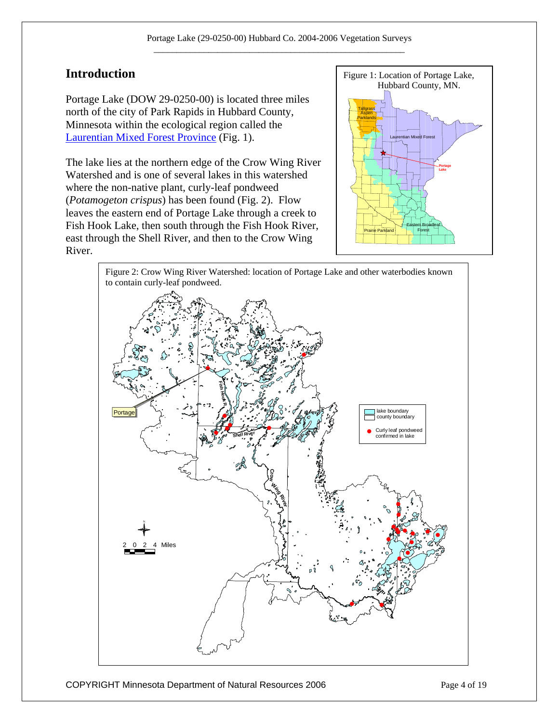Portage Lake (DOW 29-0250-00) is located three miles north of the city of Park Rapids in Hubbard County, Minnesota within the ecological region called the [Laurentian Mixed Forest Province](http://www.dnr.state.mn.us/ecs/index.html) (Fig. 1).

The lake lies at the northern edge of the Crow Wing River Watershed and is one of several lakes in this watershed where the non-native plant, curly-leaf pondweed (*Potamogeton crispus*) has been found (Fig. 2). Flow leaves the eastern end of Portage Lake through a creek to Fish Hook Lake, then south through the Fish Hook River, east through the Shell River, and then to the Crow Wing River.



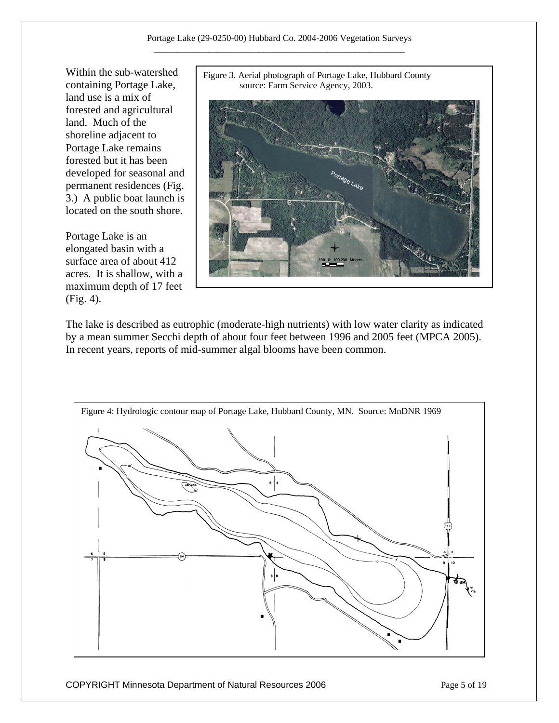Within the sub-watershed containing Portage Lake, land use is a mix of forested and agricultural land. Much of the shoreline adjacent to Portage Lake remains forested but it has been developed for seasonal and permanent residences (Fig. 3.) A public boat launch is located on the south shore.

Portage Lake is an elongated basin with a surface area of about 412 acres. It is shallow, with a maximum depth of 17 feet (Fig. 4).





The lake is described as eutrophic (moderate-high nutrients) with low water clarity as indicated by a mean summer Secchi depth of about four feet between 1996 and 2005 feet (MPCA 2005). In recent years, reports of mid-summer algal blooms have been common.

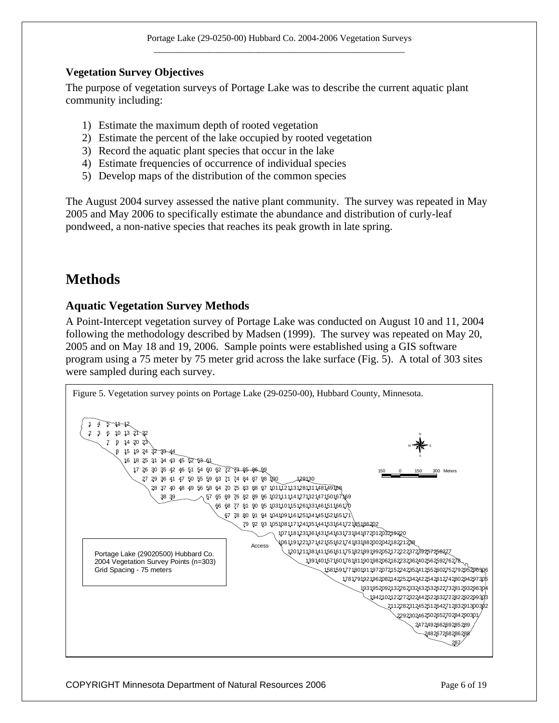#### **Vegetation Survey Objectives**

The purpose of vegetation surveys of Portage Lake was to describe the current aquatic plant community including:

- 1) Estimate the maximum depth of rooted vegetation
- 2) Estimate the percent of the lake occupied by rooted vegetation
- 3) Record the aquatic plant species that occur in the lake
- 4) Estimate frequencies of occurrence of individual species
- 5) Develop maps of the distribution of the common species

The August 2004 survey assessed the native plant community. The survey was repeated in May 2005 and May 2006 to specifically estimate the abundance and distribution of curly-leaf pondweed, a non-native species that reaches its peak growth in late spring.

## **Methods**

#### **Aquatic Vegetation Survey Methods**

A Point-Intercept vegetation survey of Portage Lake was conducted on August 10 and 11, 2004 following the methodology described by Madsen (1999). The survey was repeated on May 20, 2005 and on May 18 and 19, 2006. Sample points were established using a GIS software program using a 75 meter by 75 meter grid across the lake surface (Fig. 5). A total of 303 sites were sampled during each survey.

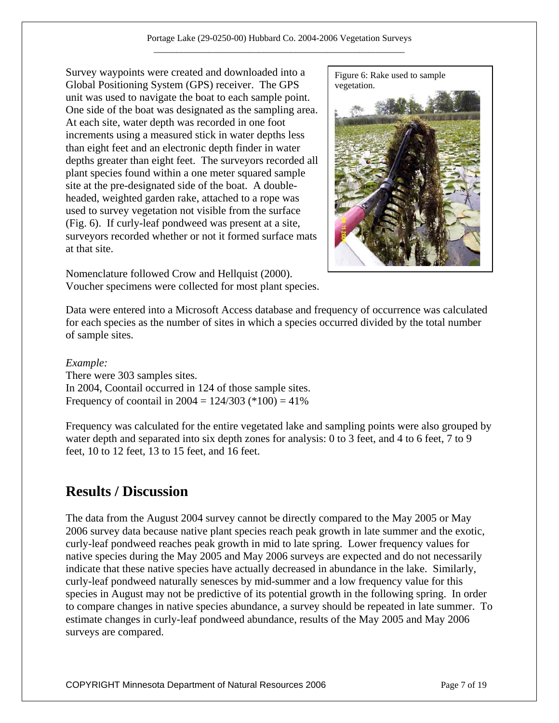Survey waypoints were created and downloaded into a Global Positioning System (GPS) receiver. The GPS unit was used to navigate the boat to each sample point. One side of the boat was designated as the sampling area. At each site, water depth was recorded in one foot increments using a measured stick in water depths less than eight feet and an electronic depth finder in water depths greater than eight feet. The surveyors recorded all plant species found within a one meter squared sample site at the pre-designated side of the boat. A doubleheaded, weighted garden rake, attached to a rope was used to survey vegetation not visible from the surface (Fig. 6). If curly-leaf pondweed was present at a site, surveyors recorded whether or not it formed surface mats at that site.



Nomenclature followed Crow and Hellquist (2000). Voucher specimens were collected for most plant species.

Data were entered into a Microsoft Access database and frequency of occurrence was calculated for each species as the number of sites in which a species occurred divided by the total number of sample sites.

#### *Example:*

There were 303 samples sites. In 2004, Coontail occurred in 124 of those sample sites. Frequency of coontail in  $2004 = 124/303$  (\*100) = 41%

Frequency was calculated for the entire vegetated lake and sampling points were also grouped by water depth and separated into six depth zones for analysis: 0 to 3 feet, and 4 to 6 feet, 7 to 9 feet, 10 to 12 feet, 13 to 15 feet, and 16 feet.

## **Results / Discussion**

The data from the August 2004 survey cannot be directly compared to the May 2005 or May 2006 survey data because native plant species reach peak growth in late summer and the exotic, curly-leaf pondweed reaches peak growth in mid to late spring. Lower frequency values for native species during the May 2005 and May 2006 surveys are expected and do not necessarily indicate that these native species have actually decreased in abundance in the lake. Similarly, curly-leaf pondweed naturally senesces by mid-summer and a low frequency value for this species in August may not be predictive of its potential growth in the following spring. In order to compare changes in native species abundance, a survey should be repeated in late summer. To estimate changes in curly-leaf pondweed abundance, results of the May 2005 and May 2006 surveys are compared.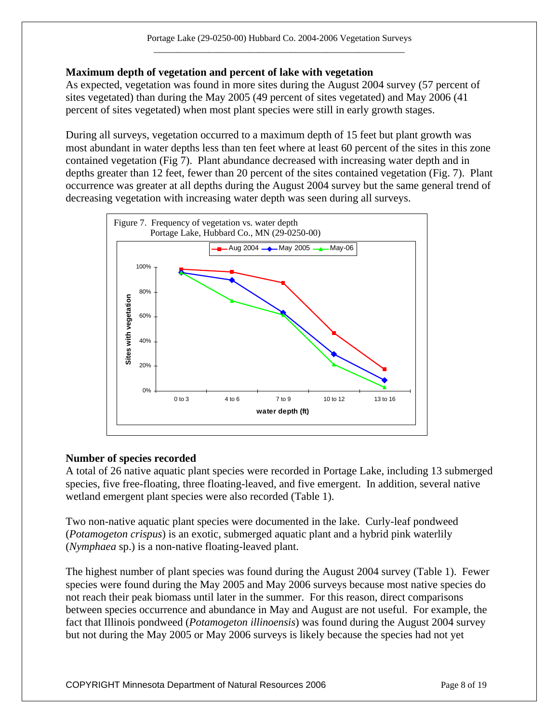#### **Maximum depth of vegetation and percent of lake with vegetation**

As expected, vegetation was found in more sites during the August 2004 survey (57 percent of sites vegetated) than during the May 2005 (49 percent of sites vegetated) and May 2006 (41 percent of sites vegetated) when most plant species were still in early growth stages.

During all surveys, vegetation occurred to a maximum depth of 15 feet but plant growth was most abundant in water depths less than ten feet where at least 60 percent of the sites in this zone contained vegetation (Fig 7). Plant abundance decreased with increasing water depth and in depths greater than 12 feet, fewer than 20 percent of the sites contained vegetation (Fig. 7). Plant occurrence was greater at all depths during the August 2004 survey but the same general trend of decreasing vegetation with increasing water depth was seen during all surveys.



#### **Number of species recorded**

A total of 26 native aquatic plant species were recorded in Portage Lake, including 13 submerged species, five free-floating, three floating-leaved, and five emergent. In addition, several native wetland emergent plant species were also recorded (Table 1).

Two non-native aquatic plant species were documented in the lake. Curly-leaf pondweed (*Potamogeton crispus*) is an exotic, submerged aquatic plant and a hybrid pink waterlily (*Nymphaea* sp.) is a non-native floating-leaved plant.

The highest number of plant species was found during the August 2004 survey (Table 1). Fewer species were found during the May 2005 and May 2006 surveys because most native species do not reach their peak biomass until later in the summer. For this reason, direct comparisons between species occurrence and abundance in May and August are not useful. For example, the fact that Illinois pondweed (*Potamogeton illinoensis*) was found during the August 2004 survey but not during the May 2005 or May 2006 surveys is likely because the species had not yet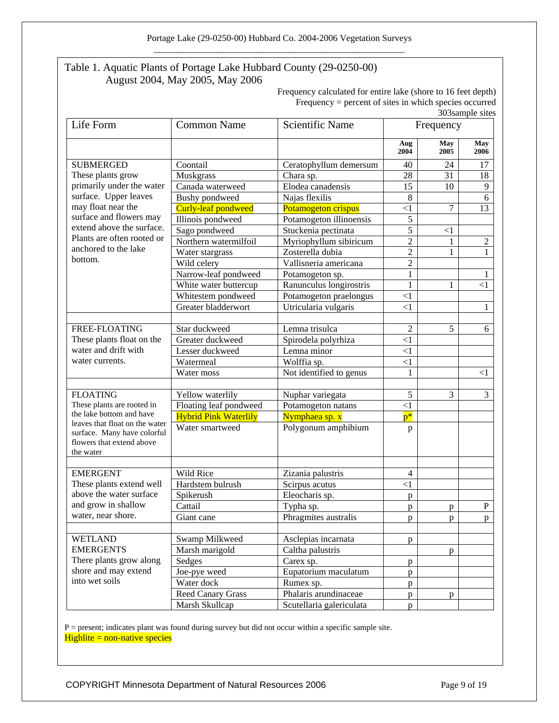#### Table 1. Aquatic Plants of Portage Lake Hubbard County (29-0250-00) August 2004, May 2005, May 2006

Frequency calculated for entire lake (shore to 16 feet depth) Frequency = percent of sites in which species occurred 303sample sites

| Life Form                                                                                   | <b>Common Name</b>           | <b>Scientific Name</b>                 | Frequency      |             |                |
|---------------------------------------------------------------------------------------------|------------------------------|----------------------------------------|----------------|-------------|----------------|
|                                                                                             |                              |                                        | Aug<br>2004    | May<br>2005 | May<br>2006    |
| <b>SUBMERGED</b><br>These plants grow<br>primarily under the water<br>surface. Upper leaves | Coontail                     | Ceratophyllum demersum                 | 40             | 24          | 17             |
|                                                                                             | Muskgrass                    | Chara sp.                              | 28             | 31          | 18             |
|                                                                                             | Canada waterweed             | Elodea canadensis                      | 15             | 10          | $\overline{9}$ |
|                                                                                             | <b>Bushy</b> pondweed        | Najas flexilis                         | 8              |             | 6              |
| may float near the                                                                          | Curly-leaf pondweed          | Potamogeton crispus                    | $\leq$ 1       | 7           | 13             |
| surface and flowers may                                                                     | Illinois pondweed            | Potamogeton illinoensis                | 5              |             |                |
| extend above the surface.                                                                   | Sago pondweed                | Stuckenia pectinata                    | 5              | $<$ 1       |                |
| Plants are often rooted or                                                                  | Northern watermilfoil        | Myriophyllum sibiricum                 | $\overline{2}$ |             | $\overline{2}$ |
| anchored to the lake<br>bottom.                                                             | Water stargrass              | Zosterella dubia                       | $\overline{2}$ | 1           | $\mathbf{1}$   |
|                                                                                             | Wild celery                  | Vallisneria americana                  | $\overline{2}$ |             |                |
|                                                                                             | Narrow-leaf pondweed         | Potamogeton sp.                        | $\mathbf{1}$   |             |                |
|                                                                                             | White water buttercup        | Ranunculus longirostris                | $\mathbf{1}$   | 1           | $\leq$ 1       |
|                                                                                             | Whitestem pondweed           | Potamogeton praelongus                 | $\leq$ 1       |             |                |
|                                                                                             | Greater bladderwort          | Utricularia vulgaris                   | $\leq$ 1       |             | 1              |
|                                                                                             |                              |                                        |                |             |                |
| FREE-FLOATING                                                                               | Star duckweed                | Lemna trisulca                         | $\overline{2}$ | 5           | 6              |
| These plants float on the                                                                   | Greater duckweed             | Spirodela polyrhiza                    | $\leq$ 1       |             |                |
| water and drift with<br>water currents.                                                     | Lesser duckweed              | Lemna minor                            | $\leq$ 1       |             |                |
|                                                                                             | Watermeal                    | Wolffia sp.                            | $\leq$ 1       |             |                |
|                                                                                             | Water moss                   | Not identified to genus                | 1              |             | $< \! 1$       |
| <b>FLOATING</b>                                                                             | Yellow waterlily             |                                        | 5              | 3           | 3              |
| These plants are rooted in                                                                  | Floating leaf pondweed       | Nuphar variegata<br>Potamogeton natans | $\leq$ 1       |             |                |
| the lake bottom and have                                                                    | <b>Hybrid Pink Waterlily</b> | Nymphaea sp. x                         | $p^*$          |             |                |
| leaves that float on the water                                                              | Water smartweed              | Polygonum amphibium                    |                |             |                |
| surface. Many have colorful<br>flowers that extend above<br>the water                       |                              |                                        | p              |             |                |
| <b>EMERGENT</b>                                                                             | Wild Rice                    | Zizania palustris                      | 4              |             |                |
| These plants extend well                                                                    | Hardstem bulrush             | Scirpus acutus                         | $\leq$ 1       |             |                |
| above the water surface                                                                     | Spikerush                    | Eleocharis sp.                         | p              |             |                |
| and grow in shallow                                                                         | Cattail                      | Typha sp.                              | p              | p           | $\mathbf P$    |
| water, near shore.                                                                          | Giant cane                   | Phragmites australis                   | p              | p           | p              |
|                                                                                             |                              |                                        |                |             |                |
| <b>WETLAND</b>                                                                              | Swamp Milkweed               | Asclepias incarnata                    | p              |             |                |
| <b>EMERGENTS</b>                                                                            | Marsh marigold               | Caltha palustris                       |                | p           |                |
| There plants grow along                                                                     | Sedges                       | Carex sp.                              | p              |             |                |
| shore and may extend                                                                        | Joe-pye weed                 | Eupatorium maculatum                   | p              |             |                |
| into wet soils                                                                              | Water dock                   | Rumex sp.                              | p              |             |                |
|                                                                                             | <b>Reed Canary Grass</b>     | Phalaris arundinaceae                  | p              | p           |                |
|                                                                                             | Marsh Skullcap               | Scutellaria galericulata               | p              |             |                |

P = present; indicates plant was found during survey but did not occur within a specific sample site.  $Hight = non-native species$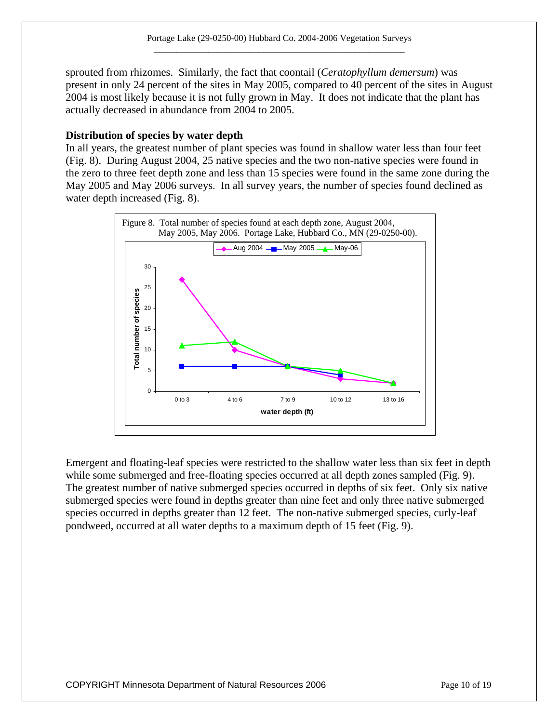sprouted from rhizomes. Similarly, the fact that coontail (*Ceratophyllum demersum*) was present in only 24 percent of the sites in May 2005, compared to 40 percent of the sites in August 2004 is most likely because it is not fully grown in May. It does not indicate that the plant has actually decreased in abundance from 2004 to 2005.

#### **Distribution of species by water depth**

In all years, the greatest number of plant species was found in shallow water less than four feet (Fig. 8). During August 2004, 25 native species and the two non-native species were found in the zero to three feet depth zone and less than 15 species were found in the same zone during the May 2005 and May 2006 surveys. In all survey years, the number of species found declined as water depth increased (Fig. 8).



Emergent and floating-leaf species were restricted to the shallow water less than six feet in depth while some submerged and free-floating species occurred at all depth zones sampled (Fig. 9). The greatest number of native submerged species occurred in depths of six feet. Only six native submerged species were found in depths greater than nine feet and only three native submerged species occurred in depths greater than 12 feet. The non-native submerged species, curly-leaf pondweed, occurred at all water depths to a maximum depth of 15 feet (Fig. 9).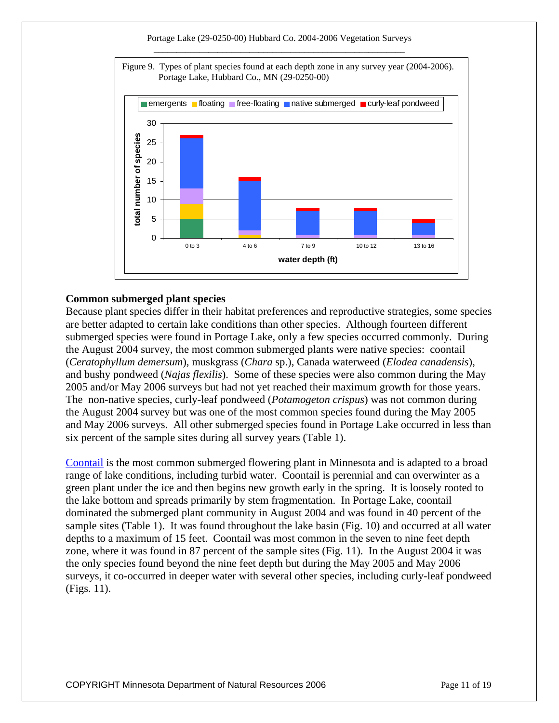#### Portage Lake (29-0250-00) Hubbard Co. 2004-2006 Vegetation Surveys



#### **Common submerged plant species**

Because plant species differ in their habitat preferences and reproductive strategies, some species are better adapted to certain lake conditions than other species. Although fourteen different submerged species were found in Portage Lake, only a few species occurred commonly. During the August 2004 survey, the most common submerged plants were native species: coontail (*Ceratophyllum demersum*), muskgrass (*Chara* sp.), Canada waterweed (*Elodea canadensis*), and bushy pondweed (*Najas flexilis*). Some of these species were also common during the May 2005 and/or May 2006 surveys but had not yet reached their maximum growth for those years. The non-native species, curly-leaf pondweed (*Potamogeton crispus*) was not common during the August 2004 survey but was one of the most common species found during the May 2005 and May 2006 surveys. All other submerged species found in Portage Lake occurred in less than six percent of the sample sites during all survey years (Table 1).

[Coontail](http://www.dnr.state.mn.us/aquatic_plants/submerged_plants/coontail.html) is the most common submerged flowering plant in Minnesota and is adapted to a broad range of lake conditions, including turbid water. Coontail is perennial and can overwinter as a green plant under the ice and then begins new growth early in the spring. It is loosely rooted to the lake bottom and spreads primarily by stem fragmentation. In Portage Lake, coontail dominated the submerged plant community in August 2004 and was found in 40 percent of the sample sites (Table 1). It was found throughout the lake basin (Fig. 10) and occurred at all water depths to a maximum of 15 feet. Coontail was most common in the seven to nine feet depth zone, where it was found in 87 percent of the sample sites (Fig. 11). In the August 2004 it was the only species found beyond the nine feet depth but during the May 2005 and May 2006 surveys, it co-occurred in deeper water with several other species, including curly-leaf pondweed (Figs. 11).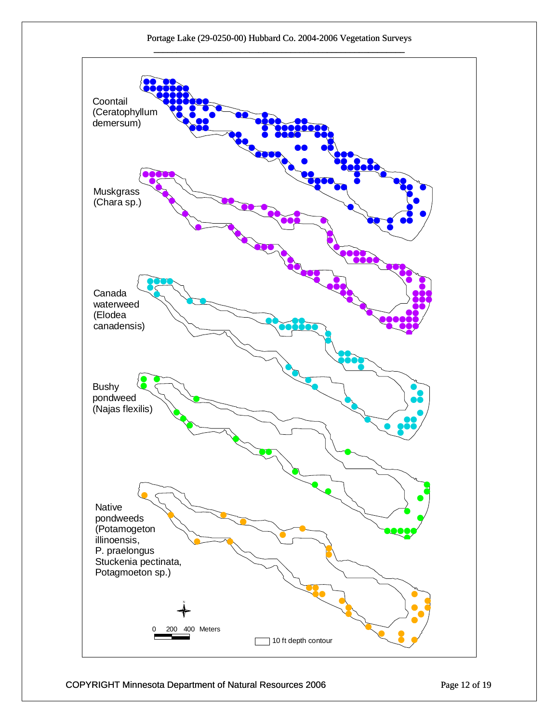

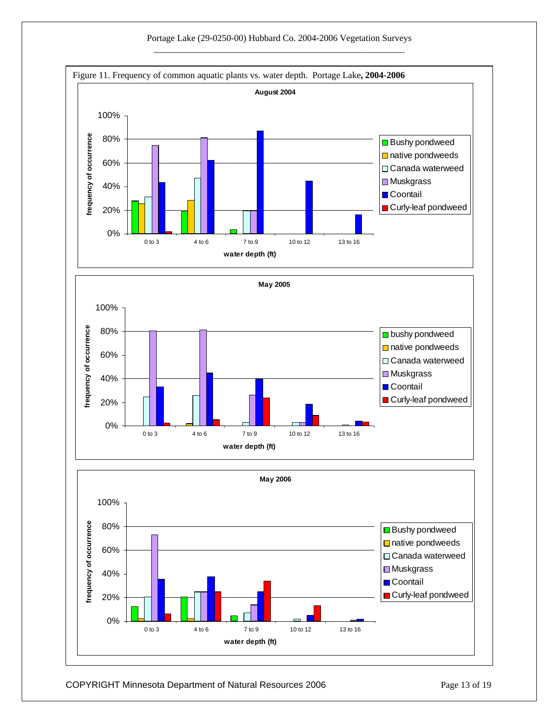

COPYRIGHT Minnesota Department of Natural Resources 2006 Page 13 of 19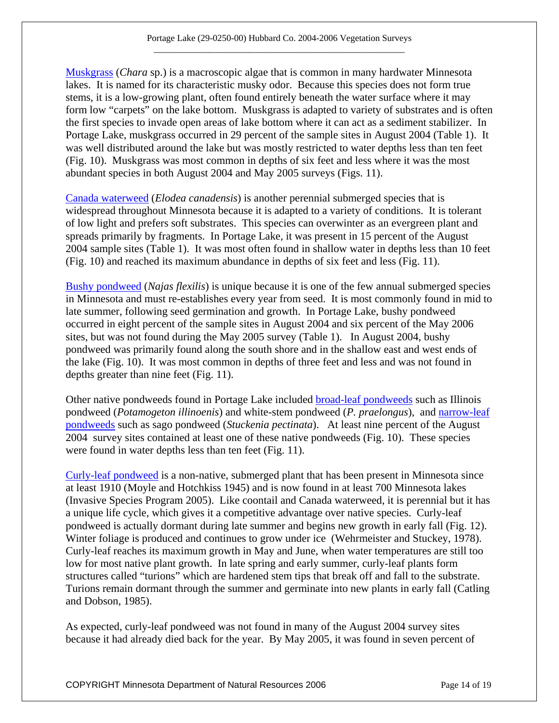[Muskgrass](http://www.dnr.state.mn.us/aquatic_plants/algae/chara.html) (*Chara* sp.) is a macroscopic algae that is common in many hardwater Minnesota lakes. It is named for its characteristic musky odor. Because this species does not form true stems, it is a low-growing plant, often found entirely beneath the water surface where it may form low "carpets" on the lake bottom. Muskgrass is adapted to variety of substrates and is often the first species to invade open areas of lake bottom where it can act as a sediment stabilizer. In Portage Lake, muskgrass occurred in 29 percent of the sample sites in August 2004 (Table 1). It was well distributed around the lake but was mostly restricted to water depths less than ten feet (Fig. 10). Muskgrass was most common in depths of six feet and less where it was the most abundant species in both August 2004 and May 2005 surveys (Figs. 11).

[Canada waterweed](http://www.dnr.state.mn.us/aquatic_plants/submerged_plants/canada_waterweed.html) (*Elodea canadensis*) is another perennial submerged species that is widespread throughout Minnesota because it is adapted to a variety of conditions. It is tolerant of low light and prefers soft substrates. This species can overwinter as an evergreen plant and spreads primarily by fragments. In Portage Lake, it was present in 15 percent of the August 2004 sample sites (Table 1). It was most often found in shallow water in depths less than 10 feet (Fig. 10) and reached its maximum abundance in depths of six feet and less (Fig. 11).

[Bushy pondweed](http://www.dnr.state.mn.us/aquatic_plants/submerged_plants/bushy_pondweeds.html) (*Najas flexilis*) is unique because it is one of the few annual submerged species in Minnesota and must re-establishes every year from seed. It is most commonly found in mid to late summer, following seed germination and growth. In Portage Lake, bushy pondweed occurred in eight percent of the sample sites in August 2004 and six percent of the May 2006 sites, but was not found during the May 2005 survey (Table 1). In August 2004, bushy pondweed was primarily found along the south shore and in the shallow east and west ends of the lake (Fig. 10). It was most common in depths of three feet and less and was not found in depths greater than nine feet (Fig. 11).

Other native pondweeds found in Portage Lake included [broad-leaf pondweeds](http://www.dnr.state.mn.us/aquatic_plants/submerged_plants/broadleaf_pondweeds.html) such as Illinois pondweed (*Potamogeton illinoenis*) and white-stem pondweed (*P. praelongus*), and [narrow-leaf](http://www.dnr.state.mn.us/aquatic_plants/submerged_plants/narrowleaf_pondweeds.html)  [pondweeds](http://www.dnr.state.mn.us/aquatic_plants/submerged_plants/narrowleaf_pondweeds.html) such as sago pondweed (*Stuckenia pectinata*). At least nine percent of the August 2004 survey sites contained at least one of these native pondweeds (Fig. 10). These species were found in water depths less than ten feet (Fig. 11).

[Curly-leaf pondweed](http://www.dnr.state.mn.us/aquatic_plants/submerged_plants/curlyleaf_pondweed.html) is a non-native, submerged plant that has been present in Minnesota since at least 1910 (Moyle and Hotchkiss 1945) and is now found in at least 700 Minnesota lakes (Invasive Species Program 2005). Like coontail and Canada waterweed, it is perennial but it has a unique life cycle, which gives it a competitive advantage over native species. Curly-leaf pondweed is actually dormant during late summer and begins new growth in early fall (Fig. 12). Winter foliage is produced and continues to grow under ice (Wehrmeister and Stuckey, 1978). Curly-leaf reaches its maximum growth in May and June, when water temperatures are still too low for most native plant growth. In late spring and early summer, curly-leaf plants form structures called "turions" which are hardened stem tips that break off and fall to the substrate. Turions remain dormant through the summer and germinate into new plants in early fall (Catling and Dobson, 1985).

As expected, curly-leaf pondweed was not found in many of the August 2004 survey sites because it had already died back for the year. By May 2005, it was found in seven percent of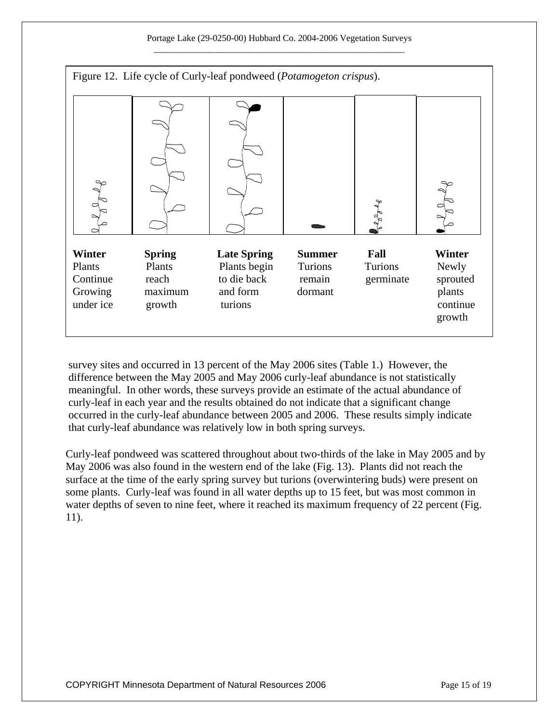

survey sites and occurred in 13 percent of the May 2006 sites (Table 1.) However, the difference between the May 2005 and May 2006 curly-leaf abundance is not statistically meaningful. In other words, these surveys provide an estimate of the actual abundance of curly-leaf in each year and the results obtained do not indicate that a significant change occurred in the curly-leaf abundance between 2005 and 2006. These results simply indicate that curly-leaf abundance was relatively low in both spring surveys.

Curly-leaf pondweed was scattered throughout about two-thirds of the lake in May 2005 and by May 2006 was also found in the western end of the lake (Fig. 13). Plants did not reach the surface at the time of the early spring survey but turions (overwintering buds) were present on some plants. Curly-leaf was found in all water depths up to 15 feet, but was most common in water depths of seven to nine feet, where it reached its maximum frequency of 22 percent (Fig. 11).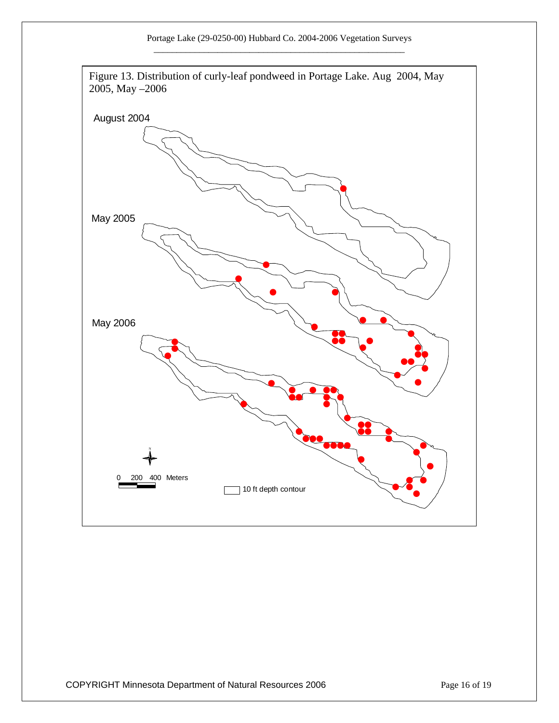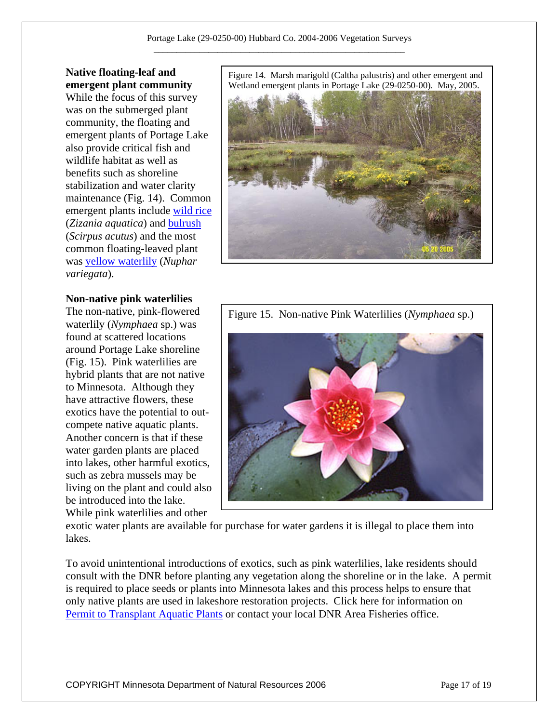#### **Native floating-leaf and emergent plant community**

While the focus of this survey was on the submerged plant community, the floating and emergent plants of Portage Lake also provide critical fish and wildlife habitat as well as benefits such as shoreline stabilization and water clarity maintenance (Fig. 14). Common emergent plants include [wild rice](http://www.dnr.state.mn.us/aquatic_plants/emergent_plants/wildrice.html) (*Zizania aquatica*) and [bulrush](http://www.dnr.state.mn.us/aquatic_plants/emergent_plants/bulrushes.html) (*Scirpus acutus*) and the most common floating-leaved plant was [yellow waterlily](http://www.dnr.state.mn.us/aquatic_plants/floatingleaf_plants/spatterdock.html) (*Nuphar variegata*).

#### **Non-native pink waterlilies**

found at scattered locations around Portage Lake shoreline (Fig. 15). Pink waterlilies are hybrid plants that are not native to Minnesota. Although they have attractive flowers, these exotics have the potential to outcompete native aquatic plants. Another concern is that if these water garden plants are placed into lakes, other harmful exotics, such as zebra mussels may be living on the plant and could also be introduced into the lake. While pink waterlilies and other

Figure 14. Marsh marigold (Caltha palustris) and other emergent and Wetland emergent plants in Portage Lake (29-0250-00). May, 2005.





exotic water plants are available for purchase for water gardens it is illegal to place them into lakes.

To avoid unintentional introductions of exotics, such as pink waterlilies, lake residents should consult with the DNR before planting any vegetation along the shoreline or in the lake. A permit is required to place seeds or plants into Minnesota lakes and this process helps to ensure that only native plants are used in lakeshore restoration projects. Click here for information on [Permit to Transplant Aquatic Plants](http://www.dnr.state.mn.us/shorelandmgmt/apg/permits.html) or contact your local DNR Area Fisheries office.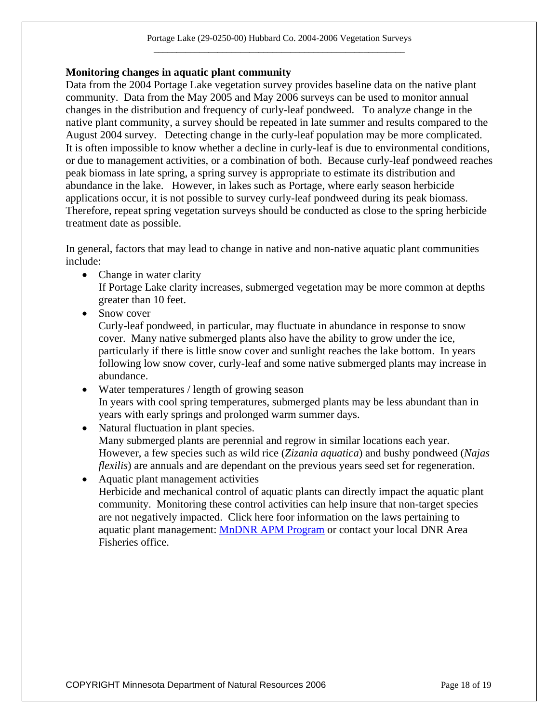#### **Monitoring changes in aquatic plant community**

Data from the 2004 Portage Lake vegetation survey provides baseline data on the native plant community. Data from the May 2005 and May 2006 surveys can be used to monitor annual changes in the distribution and frequency of curly-leaf pondweed. To analyze change in the native plant community, a survey should be repeated in late summer and results compared to the August 2004 survey. Detecting change in the curly-leaf population may be more complicated. It is often impossible to know whether a decline in curly-leaf is due to environmental conditions, or due to management activities, or a combination of both. Because curly-leaf pondweed reaches peak biomass in late spring, a spring survey is appropriate to estimate its distribution and abundance in the lake. However, in lakes such as Portage, where early season herbicide applications occur, it is not possible to survey curly-leaf pondweed during its peak biomass. Therefore, repeat spring vegetation surveys should be conducted as close to the spring herbicide treatment date as possible.

In general, factors that may lead to change in native and non-native aquatic plant communities include:

- Change in water clarity If Portage Lake clarity increases, submerged vegetation may be more common at depths greater than 10 feet.
- Snow cover Curly-leaf pondweed, in particular, may fluctuate in abundance in response to snow cover. Many native submerged plants also have the ability to grow under the ice, particularly if there is little snow cover and sunlight reaches the lake bottom. In years following low snow cover, curly-leaf and some native submerged plants may increase in abundance.
- Water temperatures / length of growing season In years with cool spring temperatures, submerged plants may be less abundant than in years with early springs and prolonged warm summer days.
- Natural fluctuation in plant species. Many submerged plants are perennial and regrow in similar locations each year. However, a few species such as wild rice (*Zizania aquatica*) and bushy pondweed (*Najas flexilis*) are annuals and are dependant on the previous years seed set for regeneration.
- Aquatic plant management activities Herbicide and mechanical control of aquatic plants can directly impact the aquatic plant community. Monitoring these control activities can help insure that non-target species are not negatively impacted. Click here foor information on the laws pertaining to aquatic plant management: [MnDNR APM Program](http://www.dnr.state.mn.us/ecological_services/apm/index.html) or contact your local DNR Area Fisheries office.